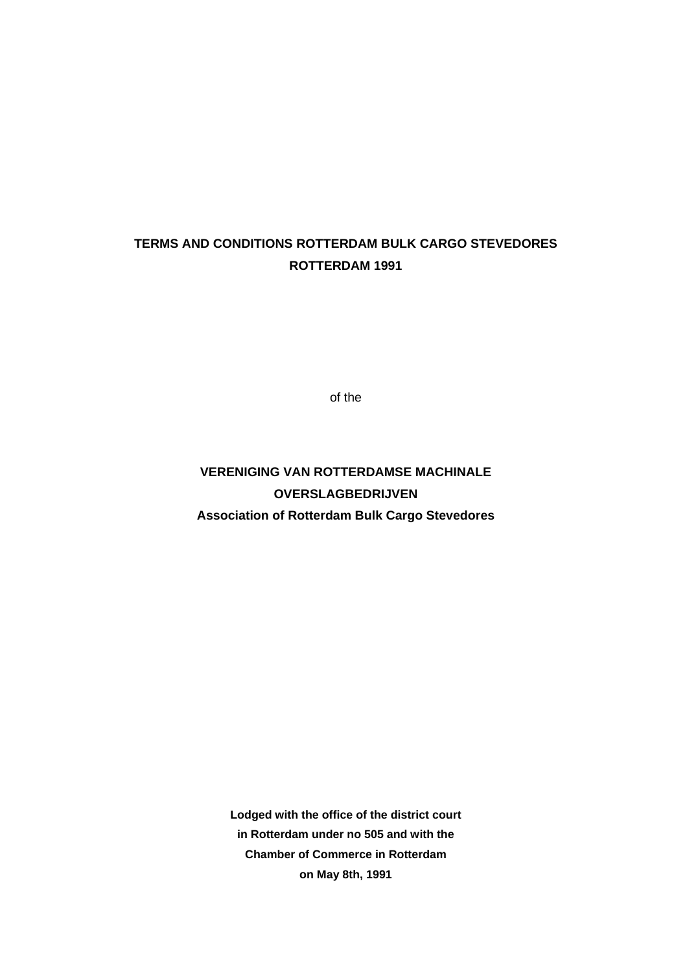## **TERMS AND CONDITIONS ROTTERDAM BULK CARGO STEVEDORES ROTTERDAM 1991**

of the

**VERENIGING VAN ROTTERDAMSE MACHINALE OVERSLAGBEDRIJVEN Association of Rotterdam Bulk Cargo Stevedores**

> **Lodged with the office of the district court in Rotterdam under no 505 and with the Chamber of Commerce in Rotterdam on May 8th, 1991**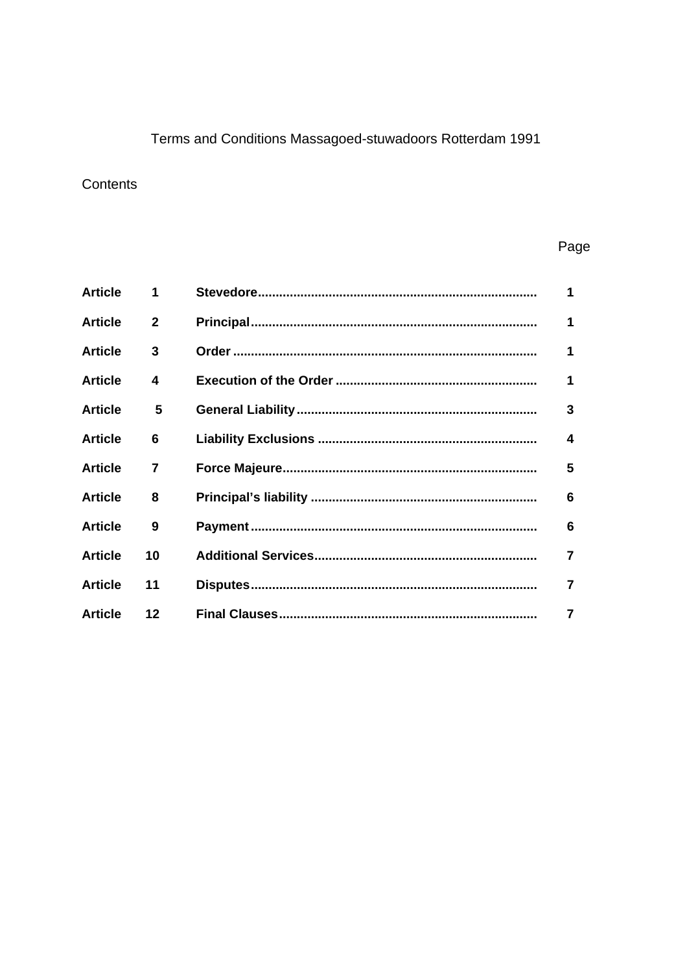# Terms and Conditions Massagoed-stuwadoors Rotterdam 1991

## Contents

## Page

| <b>Article</b> | 1              | 1                |
|----------------|----------------|------------------|
| <b>Article</b> | $\mathbf{2}$   | 1                |
| <b>Article</b> | 3              | 1                |
| <b>Article</b> | 4              | 1                |
| <b>Article</b> | 5              | 3                |
| <b>Article</b> | 6              | $\boldsymbol{4}$ |
| <b>Article</b> | $\overline{7}$ | 5                |
| <b>Article</b> | 8              | 6                |
| <b>Article</b> | 9              | 6                |
| <b>Article</b> | 10             | $\overline{7}$   |
| <b>Article</b> | 11             | 7                |
| <b>Article</b> | $12 \,$        | 7                |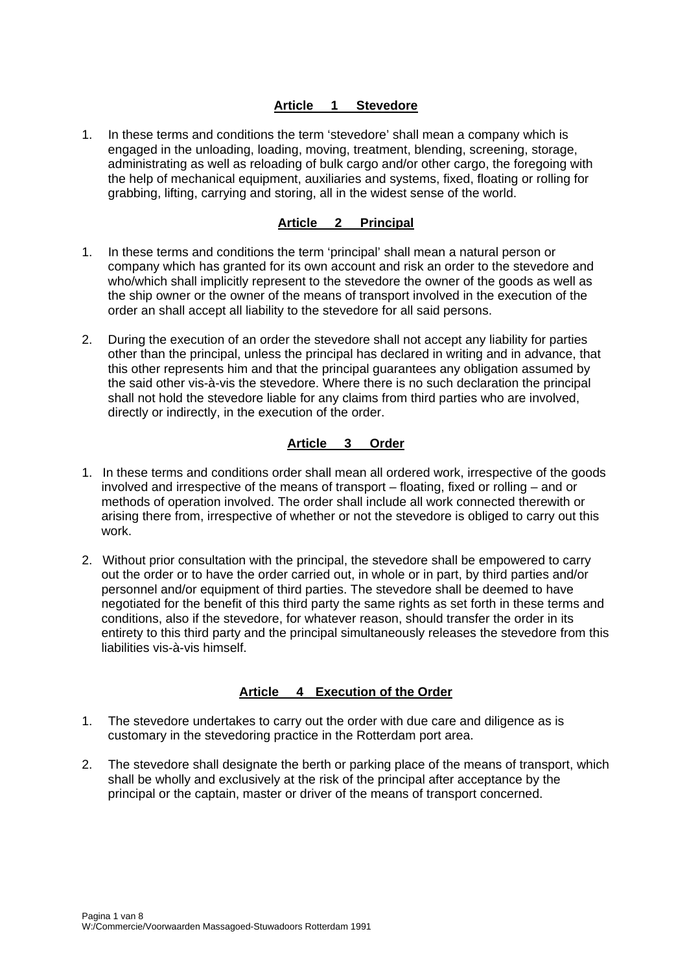### **Article 1 Stevedore**

1. In these terms and conditions the term 'stevedore' shall mean a company which is engaged in the unloading, loading, moving, treatment, blending, screening, storage, administrating as well as reloading of bulk cargo and/or other cargo, the foregoing with the help of mechanical equipment, auxiliaries and systems, fixed, floating or rolling for grabbing, lifting, carrying and storing, all in the widest sense of the world.

#### **Article 2 Principal**

- 1. In these terms and conditions the term 'principal' shall mean a natural person or company which has granted for its own account and risk an order to the stevedore and who/which shall implicitly represent to the stevedore the owner of the goods as well as the ship owner or the owner of the means of transport involved in the execution of the order an shall accept all liability to the stevedore for all said persons.
- 2. During the execution of an order the stevedore shall not accept any liability for parties other than the principal, unless the principal has declared in writing and in advance, that this other represents him and that the principal guarantees any obligation assumed by the said other vis-à-vis the stevedore. Where there is no such declaration the principal shall not hold the stevedore liable for any claims from third parties who are involved, directly or indirectly, in the execution of the order.

#### **Article 3 Order**

- 1. In these terms and conditions order shall mean all ordered work, irrespective of the goods involved and irrespective of the means of transport – floating, fixed or rolling – and or methods of operation involved. The order shall include all work connected therewith or arising there from, irrespective of whether or not the stevedore is obliged to carry out this work.
- 2. Without prior consultation with the principal, the stevedore shall be empowered to carry out the order or to have the order carried out, in whole or in part, by third parties and/or personnel and/or equipment of third parties. The stevedore shall be deemed to have negotiated for the benefit of this third party the same rights as set forth in these terms and conditions, also if the stevedore, for whatever reason, should transfer the order in its entirety to this third party and the principal simultaneously releases the stevedore from this liabilities vis-à-vis himself.

#### **Article 4 Execution of the Order**

- 1. The stevedore undertakes to carry out the order with due care and diligence as is customary in the stevedoring practice in the Rotterdam port area.
- 2. The stevedore shall designate the berth or parking place of the means of transport, which shall be wholly and exclusively at the risk of the principal after acceptance by the principal or the captain, master or driver of the means of transport concerned.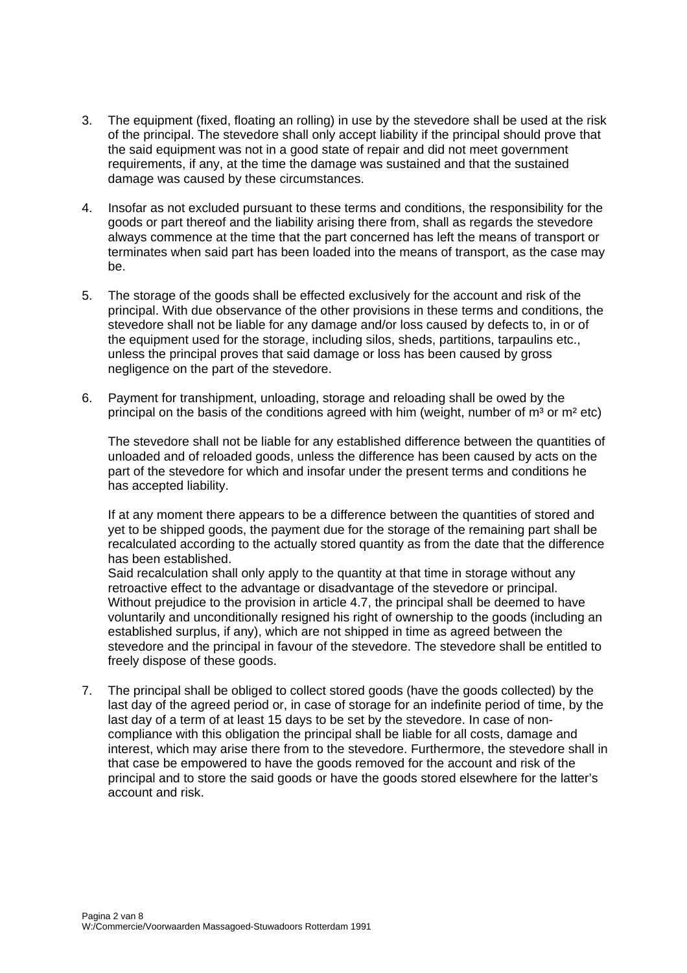- 3. The equipment (fixed, floating an rolling) in use by the stevedore shall be used at the risk of the principal. The stevedore shall only accept liability if the principal should prove that the said equipment was not in a good state of repair and did not meet government requirements, if any, at the time the damage was sustained and that the sustained damage was caused by these circumstances.
- 4. Insofar as not excluded pursuant to these terms and conditions, the responsibility for the goods or part thereof and the liability arising there from, shall as regards the stevedore always commence at the time that the part concerned has left the means of transport or terminates when said part has been loaded into the means of transport, as the case may be.
- 5. The storage of the goods shall be effected exclusively for the account and risk of the principal. With due observance of the other provisions in these terms and conditions, the stevedore shall not be liable for any damage and/or loss caused by defects to, in or of the equipment used for the storage, including silos, sheds, partitions, tarpaulins etc., unless the principal proves that said damage or loss has been caused by gross negligence on the part of the stevedore.
- 6. Payment for transhipment, unloading, storage and reloading shall be owed by the principal on the basis of the conditions agreed with him (weight, number of  $m^3$  or  $m^2$  etc)

The stevedore shall not be liable for any established difference between the quantities of unloaded and of reloaded goods, unless the difference has been caused by acts on the part of the stevedore for which and insofar under the present terms and conditions he has accepted liability.

If at any moment there appears to be a difference between the quantities of stored and yet to be shipped goods, the payment due for the storage of the remaining part shall be recalculated according to the actually stored quantity as from the date that the difference has been established.

Said recalculation shall only apply to the quantity at that time in storage without any retroactive effect to the advantage or disadvantage of the stevedore or principal. Without prejudice to the provision in article 4.7, the principal shall be deemed to have voluntarily and unconditionally resigned his right of ownership to the goods (including an established surplus, if any), which are not shipped in time as agreed between the stevedore and the principal in favour of the stevedore. The stevedore shall be entitled to freely dispose of these goods.

7. The principal shall be obliged to collect stored goods (have the goods collected) by the last day of the agreed period or, in case of storage for an indefinite period of time, by the last day of a term of at least 15 days to be set by the stevedore. In case of noncompliance with this obligation the principal shall be liable for all costs, damage and interest, which may arise there from to the stevedore. Furthermore, the stevedore shall in that case be empowered to have the goods removed for the account and risk of the principal and to store the said goods or have the goods stored elsewhere for the latter's account and risk.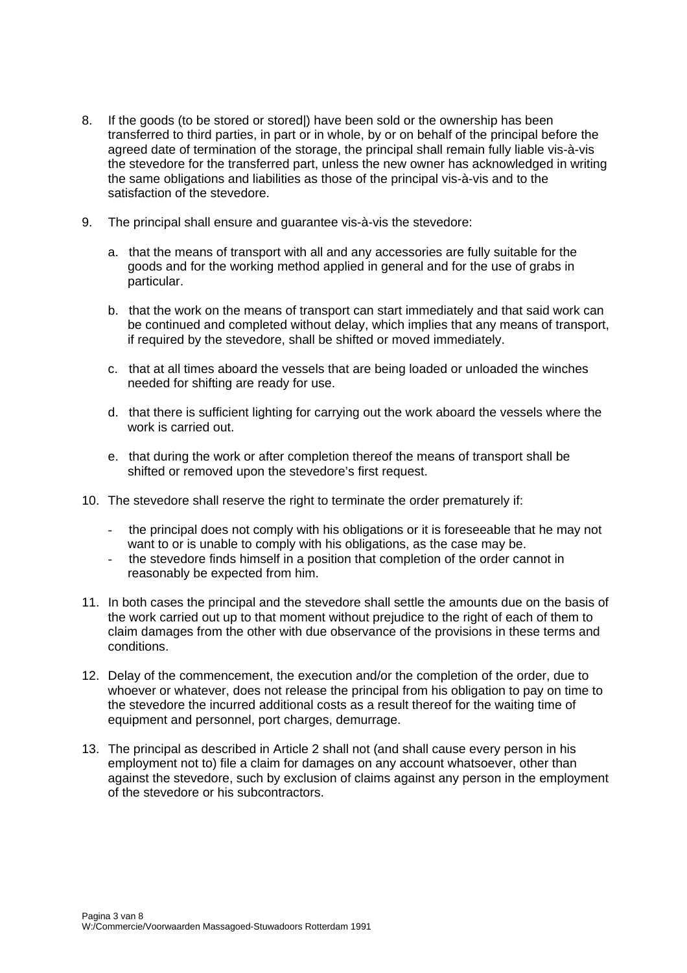- 8. If the goods (to be stored or stored|) have been sold or the ownership has been transferred to third parties, in part or in whole, by or on behalf of the principal before the agreed date of termination of the storage, the principal shall remain fully liable vis-à-vis the stevedore for the transferred part, unless the new owner has acknowledged in writing the same obligations and liabilities as those of the principal vis-à-vis and to the satisfaction of the stevedore.
- 9. The principal shall ensure and guarantee vis-à-vis the stevedore:
	- a. that the means of transport with all and any accessories are fully suitable for the goods and for the working method applied in general and for the use of grabs in particular.
	- b. that the work on the means of transport can start immediately and that said work can be continued and completed without delay, which implies that any means of transport, if required by the stevedore, shall be shifted or moved immediately.
	- c. that at all times aboard the vessels that are being loaded or unloaded the winches needed for shifting are ready for use.
	- d. that there is sufficient lighting for carrying out the work aboard the vessels where the work is carried out.
	- e. that during the work or after completion thereof the means of transport shall be shifted or removed upon the stevedore's first request.
- 10. The stevedore shall reserve the right to terminate the order prematurely if:
	- the principal does not comply with his obligations or it is foreseeable that he may not want to or is unable to comply with his obligations, as the case may be.
	- the stevedore finds himself in a position that completion of the order cannot in reasonably be expected from him.
- 11. In both cases the principal and the stevedore shall settle the amounts due on the basis of the work carried out up to that moment without prejudice to the right of each of them to claim damages from the other with due observance of the provisions in these terms and conditions.
- 12. Delay of the commencement, the execution and/or the completion of the order, due to whoever or whatever, does not release the principal from his obligation to pay on time to the stevedore the incurred additional costs as a result thereof for the waiting time of equipment and personnel, port charges, demurrage.
- 13. The principal as described in Article 2 shall not (and shall cause every person in his employment not to) file a claim for damages on any account whatsoever, other than against the stevedore, such by exclusion of claims against any person in the employment of the stevedore or his subcontractors.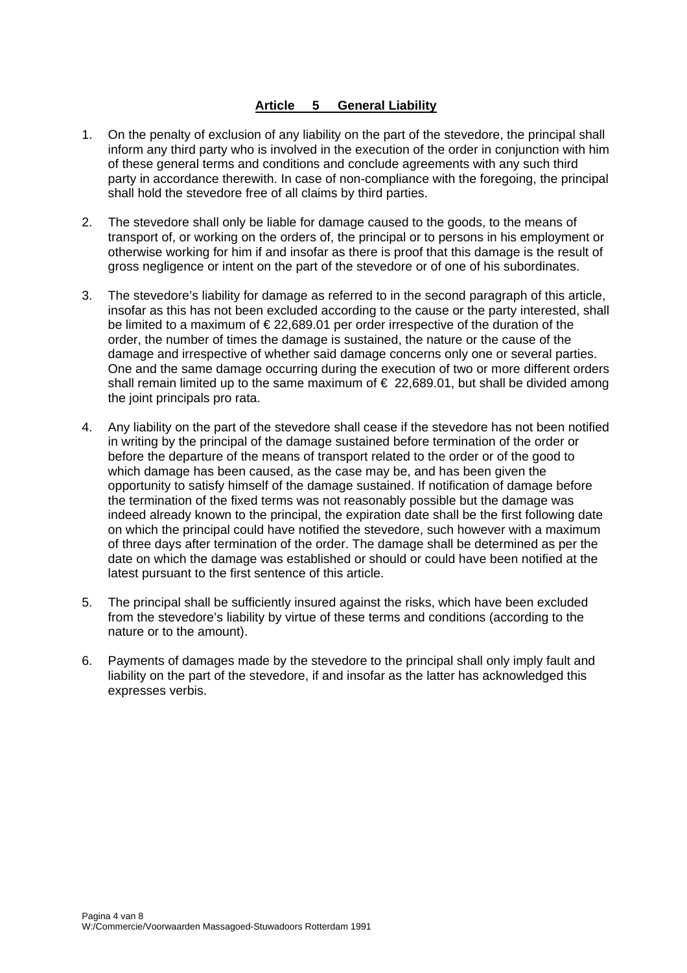## **Article 5 General Liability**

- 1. On the penalty of exclusion of any liability on the part of the stevedore, the principal shall inform any third party who is involved in the execution of the order in conjunction with him of these general terms and conditions and conclude agreements with any such third party in accordance therewith. In case of non-compliance with the foregoing, the principal shall hold the stevedore free of all claims by third parties.
- 2. The stevedore shall only be liable for damage caused to the goods, to the means of transport of, or working on the orders of, the principal or to persons in his employment or otherwise working for him if and insofar as there is proof that this damage is the result of gross negligence or intent on the part of the stevedore or of one of his subordinates.
- 3. The stevedore's liability for damage as referred to in the second paragraph of this article, insofar as this has not been excluded according to the cause or the party interested, shall be limited to a maximum of € 22,689.01 per order irrespective of the duration of the order, the number of times the damage is sustained, the nature or the cause of the damage and irrespective of whether said damage concerns only one or several parties. One and the same damage occurring during the execution of two or more different orders shall remain limited up to the same maximum of  $\epsilon$  22,689.01, but shall be divided among the joint principals pro rata.
- 4. Any liability on the part of the stevedore shall cease if the stevedore has not been notified in writing by the principal of the damage sustained before termination of the order or before the departure of the means of transport related to the order or of the good to which damage has been caused, as the case may be, and has been given the opportunity to satisfy himself of the damage sustained. If notification of damage before the termination of the fixed terms was not reasonably possible but the damage was indeed already known to the principal, the expiration date shall be the first following date on which the principal could have notified the stevedore, such however with a maximum of three days after termination of the order. The damage shall be determined as per the date on which the damage was established or should or could have been notified at the latest pursuant to the first sentence of this article.
- 5. The principal shall be sufficiently insured against the risks, which have been excluded from the stevedore's liability by virtue of these terms and conditions (according to the nature or to the amount).
- 6. Payments of damages made by the stevedore to the principal shall only imply fault and liability on the part of the stevedore, if and insofar as the latter has acknowledged this expresses verbis.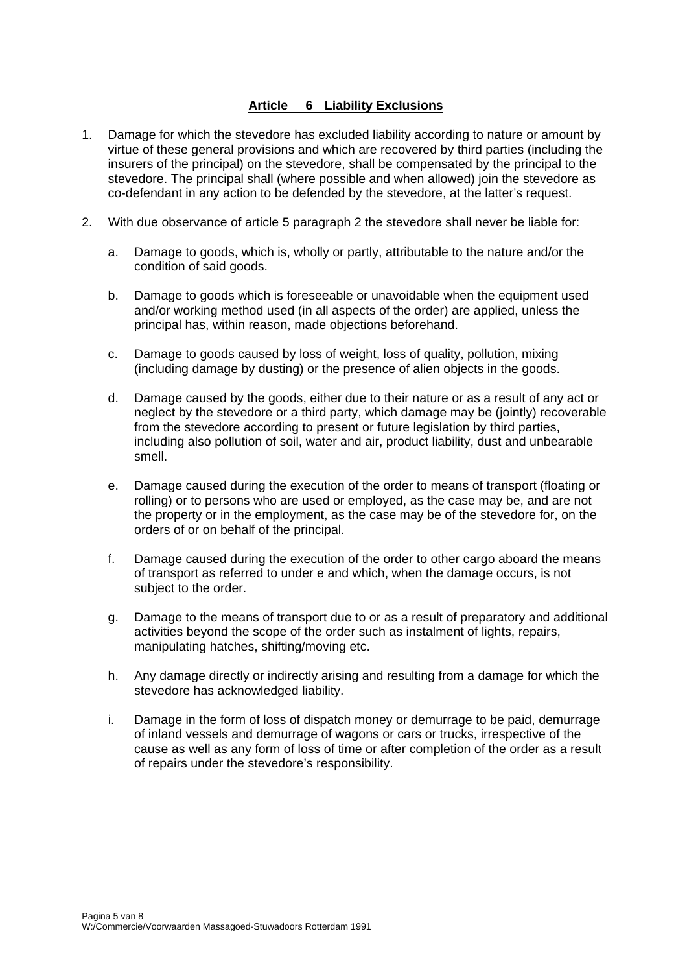## **Article 6 Liability Exclusions**

- 1. Damage for which the stevedore has excluded liability according to nature or amount by virtue of these general provisions and which are recovered by third parties (including the insurers of the principal) on the stevedore, shall be compensated by the principal to the stevedore. The principal shall (where possible and when allowed) join the stevedore as co-defendant in any action to be defended by the stevedore, at the latter's request.
- 2. With due observance of article 5 paragraph 2 the stevedore shall never be liable for:
	- a. Damage to goods, which is, wholly or partly, attributable to the nature and/or the condition of said goods.
	- b. Damage to goods which is foreseeable or unavoidable when the equipment used and/or working method used (in all aspects of the order) are applied, unless the principal has, within reason, made objections beforehand.
	- c. Damage to goods caused by loss of weight, loss of quality, pollution, mixing (including damage by dusting) or the presence of alien objects in the goods.
	- d. Damage caused by the goods, either due to their nature or as a result of any act or neglect by the stevedore or a third party, which damage may be (jointly) recoverable from the stevedore according to present or future legislation by third parties, including also pollution of soil, water and air, product liability, dust and unbearable smell.
	- e. Damage caused during the execution of the order to means of transport (floating or rolling) or to persons who are used or employed, as the case may be, and are not the property or in the employment, as the case may be of the stevedore for, on the orders of or on behalf of the principal.
	- f. Damage caused during the execution of the order to other cargo aboard the means of transport as referred to under e and which, when the damage occurs, is not subject to the order.
	- g. Damage to the means of transport due to or as a result of preparatory and additional activities beyond the scope of the order such as instalment of lights, repairs, manipulating hatches, shifting/moving etc.
	- h. Any damage directly or indirectly arising and resulting from a damage for which the stevedore has acknowledged liability.
	- i. Damage in the form of loss of dispatch money or demurrage to be paid, demurrage of inland vessels and demurrage of wagons or cars or trucks, irrespective of the cause as well as any form of loss of time or after completion of the order as a result of repairs under the stevedore's responsibility.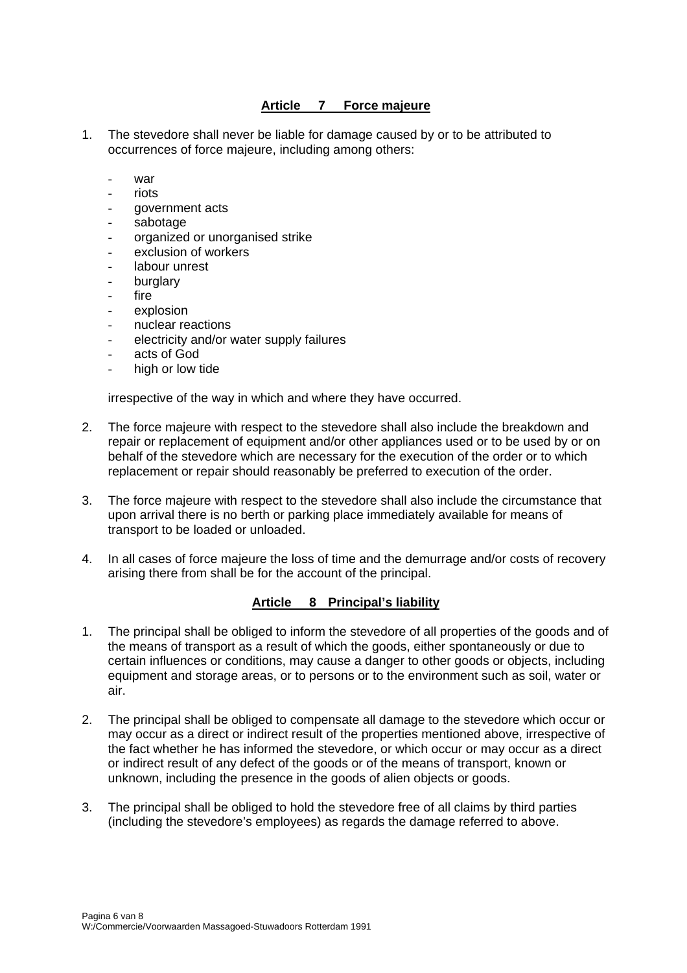## **Article 7 Force majeure**

- 1. The stevedore shall never be liable for damage caused by or to be attributed to occurrences of force majeure, including among others:
	- $War$
	- riots
	- government acts
	- sabotage
	- organized or unorganised strike
	- exclusion of workers
	- labour unrest
	- burglary
	- fire
	- explosion
	- nuclear reactions
	- electricity and/or water supply failures
	- acts of God
	- high or low tide

irrespective of the way in which and where they have occurred.

- 2. The force majeure with respect to the stevedore shall also include the breakdown and repair or replacement of equipment and/or other appliances used or to be used by or on behalf of the stevedore which are necessary for the execution of the order or to which replacement or repair should reasonably be preferred to execution of the order.
- 3. The force majeure with respect to the stevedore shall also include the circumstance that upon arrival there is no berth or parking place immediately available for means of transport to be loaded or unloaded.
- 4. In all cases of force majeure the loss of time and the demurrage and/or costs of recovery arising there from shall be for the account of the principal.

#### **Article 8 Principal's liability**

- 1. The principal shall be obliged to inform the stevedore of all properties of the goods and of the means of transport as a result of which the goods, either spontaneously or due to certain influences or conditions, may cause a danger to other goods or objects, including equipment and storage areas, or to persons or to the environment such as soil, water or air.
- 2. The principal shall be obliged to compensate all damage to the stevedore which occur or may occur as a direct or indirect result of the properties mentioned above, irrespective of the fact whether he has informed the stevedore, or which occur or may occur as a direct or indirect result of any defect of the goods or of the means of transport, known or unknown, including the presence in the goods of alien objects or goods.
- 3. The principal shall be obliged to hold the stevedore free of all claims by third parties (including the stevedore's employees) as regards the damage referred to above.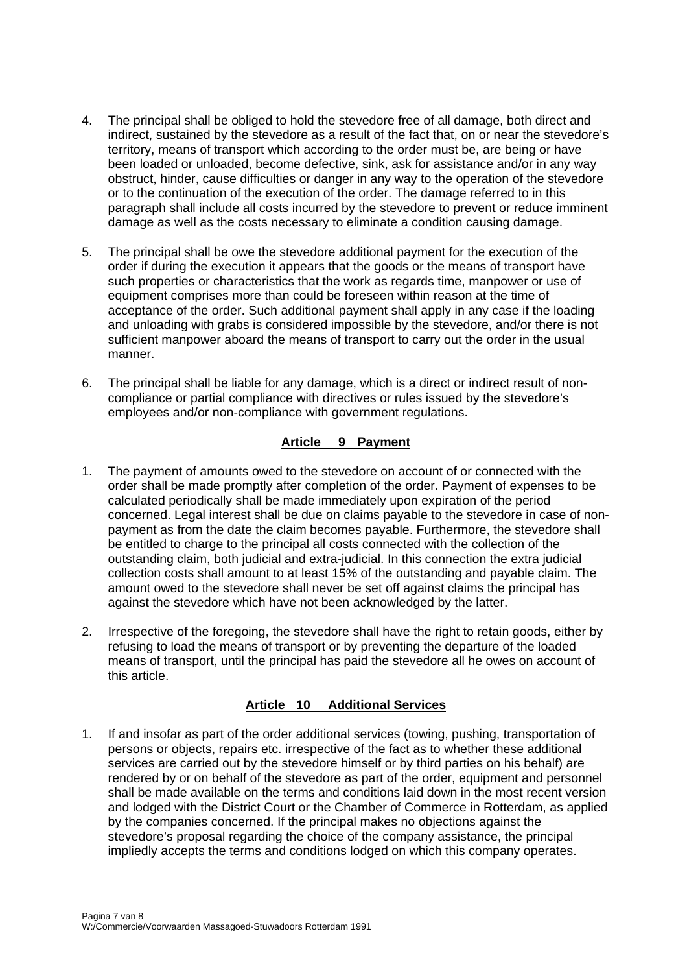- 4. The principal shall be obliged to hold the stevedore free of all damage, both direct and indirect, sustained by the stevedore as a result of the fact that, on or near the stevedore's territory, means of transport which according to the order must be, are being or have been loaded or unloaded, become defective, sink, ask for assistance and/or in any way obstruct, hinder, cause difficulties or danger in any way to the operation of the stevedore or to the continuation of the execution of the order. The damage referred to in this paragraph shall include all costs incurred by the stevedore to prevent or reduce imminent damage as well as the costs necessary to eliminate a condition causing damage.
- 5. The principal shall be owe the stevedore additional payment for the execution of the order if during the execution it appears that the goods or the means of transport have such properties or characteristics that the work as regards time, manpower or use of equipment comprises more than could be foreseen within reason at the time of acceptance of the order. Such additional payment shall apply in any case if the loading and unloading with grabs is considered impossible by the stevedore, and/or there is not sufficient manpower aboard the means of transport to carry out the order in the usual manner.
- 6. The principal shall be liable for any damage, which is a direct or indirect result of noncompliance or partial compliance with directives or rules issued by the stevedore's employees and/or non-compliance with government regulations.

## **Article 9 Payment**

- 1. The payment of amounts owed to the stevedore on account of or connected with the order shall be made promptly after completion of the order. Payment of expenses to be calculated periodically shall be made immediately upon expiration of the period concerned. Legal interest shall be due on claims payable to the stevedore in case of nonpayment as from the date the claim becomes payable. Furthermore, the stevedore shall be entitled to charge to the principal all costs connected with the collection of the outstanding claim, both judicial and extra-judicial. In this connection the extra judicial collection costs shall amount to at least 15% of the outstanding and payable claim. The amount owed to the stevedore shall never be set off against claims the principal has against the stevedore which have not been acknowledged by the latter.
- 2. Irrespective of the foregoing, the stevedore shall have the right to retain goods, either by refusing to load the means of transport or by preventing the departure of the loaded means of transport, until the principal has paid the stevedore all he owes on account of this article.

#### **Article 10 Additional Services**

1. If and insofar as part of the order additional services (towing, pushing, transportation of persons or objects, repairs etc. irrespective of the fact as to whether these additional services are carried out by the stevedore himself or by third parties on his behalf) are rendered by or on behalf of the stevedore as part of the order, equipment and personnel shall be made available on the terms and conditions laid down in the most recent version and lodged with the District Court or the Chamber of Commerce in Rotterdam, as applied by the companies concerned. If the principal makes no objections against the stevedore's proposal regarding the choice of the company assistance, the principal impliedly accepts the terms and conditions lodged on which this company operates.